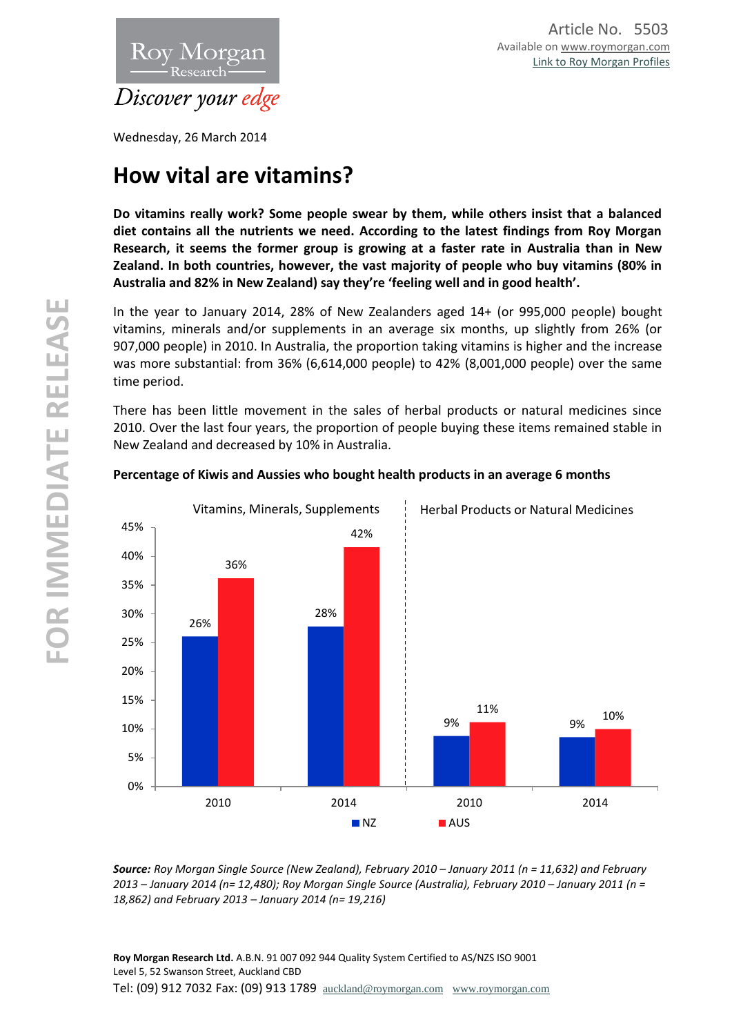

Wednesday, 26 March 2014

# **How vital are vitamins?**

**Do vitamins really work? Some people swear by them, while others insist that a balanced diet contains all the nutrients we need. According to the latest findings from Roy Morgan Research, it seems the former group is growing at a faster rate in Australia than in New Zealand. In both countries, however, the vast majority of people who buy vitamins (80% in Australia and 82% in New Zealand) say they're 'feeling well and in good health'.**

In the year to January 2014, 28% of New Zealanders aged 14+ (or 995,000 people) bought vitamins, minerals and/or supplements in an average six months, up slightly from 26% (or 907,000 people) in 2010. In Australia, the proportion taking vitamins is higher and the increase was more substantial: from 36% (6,614,000 people) to 42% (8,001,000 people) over the same time period.

There has been little movement in the sales of herbal products or natural medicines since 2010. Over the last four years, the proportion of people buying these items remained stable in New Zealand and decreased by 10% in Australia.



## **Percentage of Kiwis and Aussies who bought health products in an average 6 months**

*Source: Roy Morgan Single Source (New Zealand), February 2010 – January 2011 (n = 11,632) and February 2013 – January 2014 (n= 12,480); Roy Morgan Single Source (Australia), February 2010 – January 2011 (n = 18,862) and February 2013 – January 2014 (n= 19,216)*

**Roy Morgan Research Ltd.** A.B.N. 91 007 092 944 Quality System Certified to AS/NZS ISO 9001 Level 5, 52 Swanson Street, Auckland CBD Tel: (09) 912 7032 Fax: (09) 913 1789 [auckland@roymorgan.com](mailto:auckland@roymorgan.com) [www.roymorgan.com](http://www.roymorgan.com/)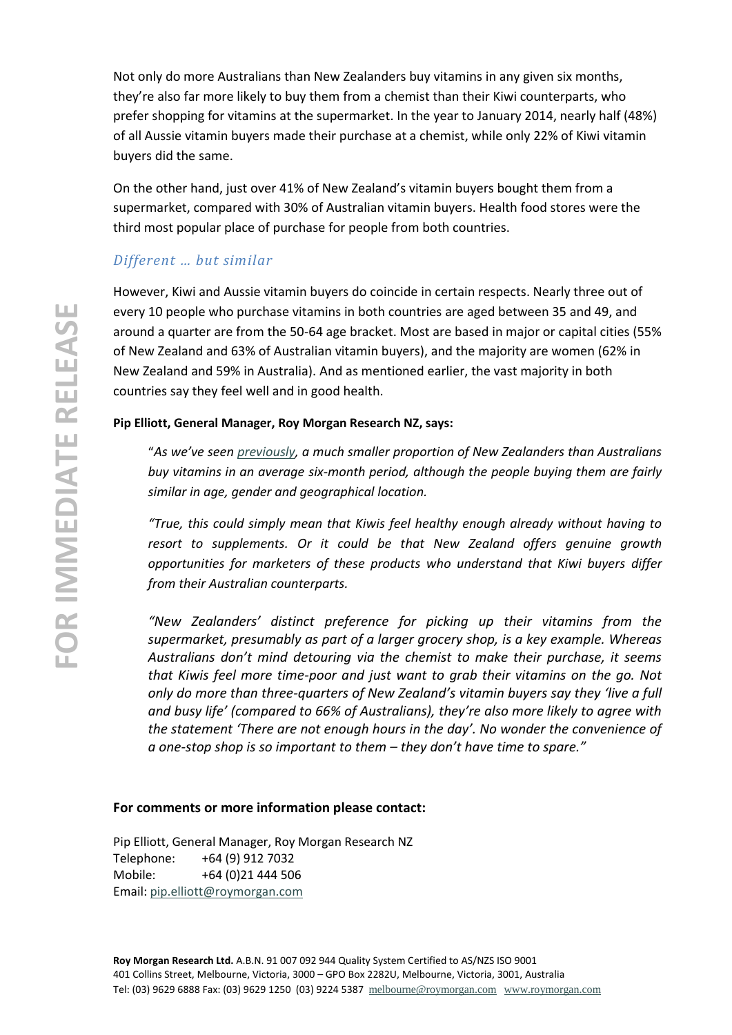Not only do more Australians than New Zealanders buy vitamins in any given six months, they're also far more likely to buy them from a chemist than their Kiwi counterparts, who prefer shopping for vitamins at the supermarket. In the year to January 2014, nearly half (48%) of all Aussie vitamin buyers made their purchase at a chemist, while only 22% of Kiwi vitamin buyers did the same.

On the other hand, just over 41% of New Zealand's vitamin buyers bought them from a supermarket, compared with 30% of Australian vitamin buyers. Health food stores were the third most popular place of purchase for people from both countries.

## *Different … but similar*

However, Kiwi and Aussie vitamin buyers do coincide in certain respects. Nearly three out of every 10 people who purchase vitamins in both countries are aged between 35 and 49, and around a quarter are from the 50-64 age bracket. Most are based in major or capital cities (55% of New Zealand and 63% of Australian vitamin buyers), and the majority are women (62% in New Zealand and 59% in Australia). And as mentioned earlier, the vast majority in both countries say they feel well and in good health.

## **Pip Elliott, General Manager, Roy Morgan Research NZ, says:**

"*As we've seen [previously,](http://www.roymorgan.com.au/findings/finding-2001-201303140541) a much smaller proportion of New Zealanders than Australians buy vitamins in an average six-month period, although the people buying them are fairly similar in age, gender and geographical location.*

*"True, this could simply mean that Kiwis feel healthy enough already without having to resort to supplements. Or it could be that New Zealand offers genuine growth opportunities for marketers of these products who understand that Kiwi buyers differ from their Australian counterparts.*

*"New Zealanders' distinct preference for picking up their vitamins from the supermarket, presumably as part of a larger grocery shop, is a key example. Whereas Australians don't mind detouring via the chemist to make their purchase, it seems that Kiwis feel more time-poor and just want to grab their vitamins on the go. Not only do more than three-quarters of New Zealand's vitamin buyers say they 'live a full and busy life' (compared to 66% of Australians), they're also more likely to agree with the statement 'There are not enough hours in the day'. No wonder the convenience of a one-stop shop is so important to them – they don't have time to spare."*

## **For comments or more information please contact:**

Pip Elliott, General Manager, Roy Morgan Research NZ Telephone: +64 (9) 912 7032 Mobile: +64 (0)21 444 506 Email: [pip.elliott@roymorgan.com](mailto:pip.elliott@roymorgan.com)